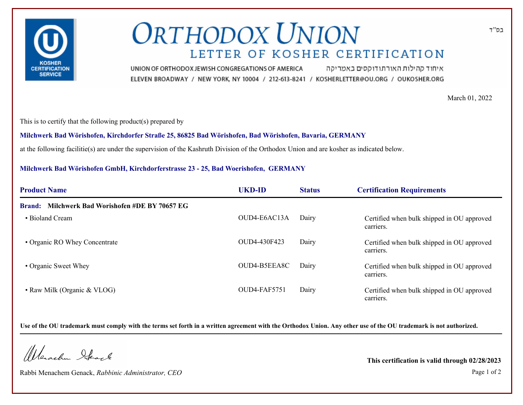

## **ORTHODOX UNION** LETTER OF KOSHER CERTIFICATION

איחוד קהילות האורתודוקסים באמריקה UNION OF ORTHODOX JEWISH CONGREGATIONS OF AMERICA ELEVEN BROADWAY / NEW YORK, NY 10004 / 212-613-8241 / KOSHERLETTER@OU.ORG / OUKOSHER.ORG

March 01, 2022

This is to certify that the following product(s) prepared by

**Milchwerk Bad Wörishofen, Kirchdorfer Straße 25, 86825 Bad Wörishofen, Bad Wörishofen, Bavaria, GERMANY**

at the following facilitie(s) are under the supervision of the Kashruth Division of the Orthodox Union and are kosher as indicated below.

## **Milchwerk Bad Wörishofen GmbH, Kirchdorferstrasse 23 - 25, Bad Woerishofen, GERMANY**

| <b>Product Name</b>                             | <b>UKD-ID</b> | <b>Status</b> | <b>Certification Requirements</b>                       |
|-------------------------------------------------|---------------|---------------|---------------------------------------------------------|
| Brand: Milchwerk Bad Worishofen #DE BY 70657 EG |               |               |                                                         |
| • Bioland Cream                                 | OUD4-E6AC13A  | Dairy         | Certified when bulk shipped in OU approved<br>carriers. |
| • Organic RO Whey Concentrate                   | OUD4-430F423  | Dairy         | Certified when bulk shipped in OU approved<br>carriers. |
| • Organic Sweet Whey                            | OUD4-B5EEA8C  | Dairy         | Certified when bulk shipped in OU approved<br>carriers. |
| • Raw Milk (Organic & VLOG)                     | OUD4-FAF5751  | Dairy         | Certified when bulk shipped in OU approved<br>carriers. |

**Use of the OU trademark must comply with the terms set forth in a written agreement with the Orthodox Union. Any other use of the OU trademark is not authorized.**

Werschn Heart

Rabbi Menachem Genack, *Rabbinic Administrator, CEO* Page 1 of 2

**This certification is valid through 02/28/2023**

בס"ד